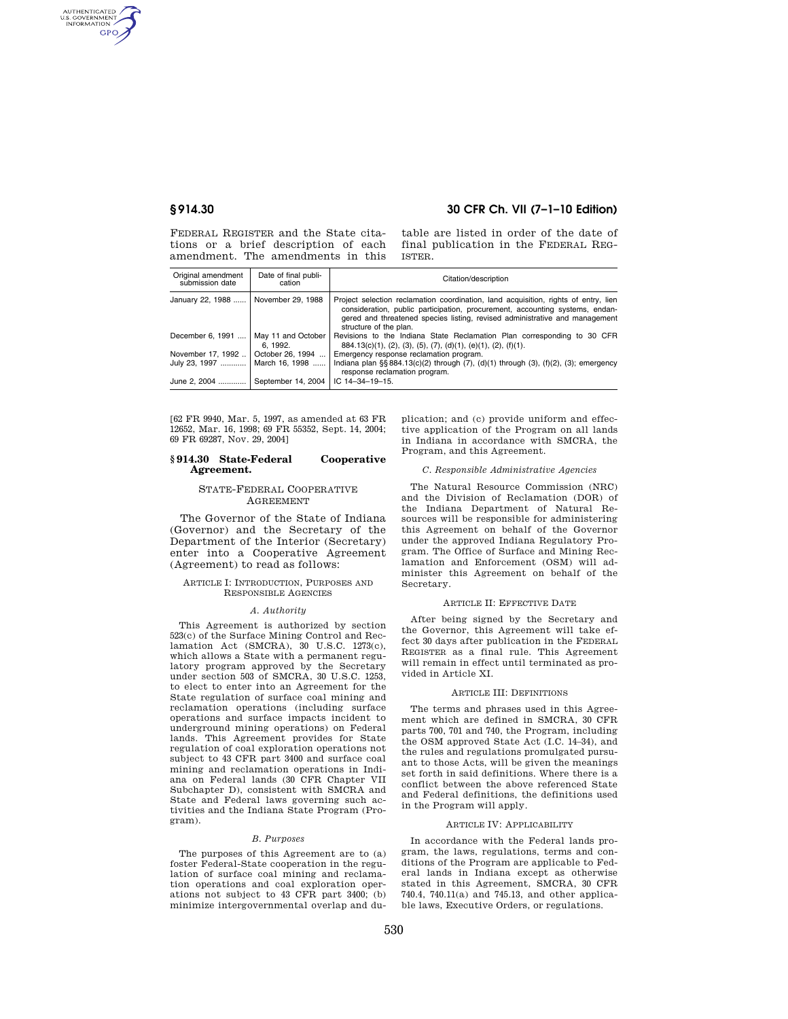AUTHENTICATED<br>U.S. GOVERNMENT<br>INFORMATION **GPO** 

# **§ 914.30 30 CFR Ch. VII (7–1–10 Edition)**

FEDERAL REGISTER and the State citations or a brief description of each amendment. The amendments in this

table are listed in order of the date of final publication in the FEDERAL REG-ISTER.

| Original amendment<br>submission date | Date of final publi-<br>cation | Citation/description                                                                                                                                                                                                                                                         |
|---------------------------------------|--------------------------------|------------------------------------------------------------------------------------------------------------------------------------------------------------------------------------------------------------------------------------------------------------------------------|
| January 22, 1988    November 29, 1988 |                                | Project selection reclamation coordination, land acquisition, rights of entry, lien<br>consideration, public participation, procurement, accounting systems, endan-<br>gered and threatened species listing, revised administrative and management<br>structure of the plan. |
| December 6, 1991                      | May 11 and October<br>6.1992.  | Revisions to the Indiana State Reclamation Plan corresponding to 30 CFR<br>$884.13(c)(1), (2), (3), (5), (7), (d)(1), (e)(1), (2), (f)(1).$                                                                                                                                  |
| November 17, 1992                     | October 26, 1994               | Emergency response reclamation program.                                                                                                                                                                                                                                      |
| July 23, 1997                         | March 16, 1998                 | Indiana plan $\S$ § 884.13(c)(2) through (7), (d)(1) through (3), (f)(2), (3); emergency<br>response reclamation program.                                                                                                                                                    |
| June 2, 2004                          | September 14, 2004             | $IC$ 14-34-19-15.                                                                                                                                                                                                                                                            |

[62 FR 9940, Mar. 5, 1997, as amended at 63 FR 12652, Mar. 16, 1998; 69 FR 55352, Sept. 14, 2004; 69 FR 69287, Nov. 29, 2004]

#### **§ 914.30 State-Federal Cooperative Agreement.**

### STATE-FEDERAL COOPERATIVE **AGREEMENT**

The Governor of the State of Indiana (Governor) and the Secretary of the Department of the Interior (Secretary) enter into a Cooperative Agreement (Agreement) to read as follows:

#### ARTICLE I: INTRODUCTION, PURPOSES AND RESPONSIBLE AGENCIES

#### *A. Authority*

This Agreement is authorized by section 523(c) of the Surface Mining Control and Reclamation Act (SMCRA), 30 U.S.C. 1273(c), which allows a State with a permanent regulatory program approved by the Secretary under section 503 of SMCRA, 30 U.S.C. 1253, to elect to enter into an Agreement for the State regulation of surface coal mining and reclamation operations (including surface operations and surface impacts incident to underground mining operations) on Federal lands. This Agreement provides for State regulation of coal exploration operations not subject to 43 CFR part 3400 and surface coal mining and reclamation operations in Indiana on Federal lands (30 CFR Chapter VII Subchapter D), consistent with SMCRA and State and Federal laws governing such activities and the Indiana State Program (Program).

#### *B. Purposes*

The purposes of this Agreement are to (a) foster Federal-State cooperation in the regulation of surface coal mining and reclamation operations and coal exploration operations not subject to 43 CFR part 3400; (b) minimize intergovernmental overlap and duplication; and (c) provide uniform and effective application of the Program on all lands in Indiana in accordance with SMCRA, the Program, and this Agreement.

#### *C. Responsible Administrative Agencies*

The Natural Resource Commission (NRC) and the Division of Reclamation (DOR) of the Indiana Department of Natural Resources will be responsible for administering this Agreement on behalf of the Governor under the approved Indiana Regulatory Program. The Office of Surface and Mining Reclamation and Enforcement (OSM) will administer this Agreement on behalf of the Secretary.

#### ARTICLE II: EFFECTIVE DATE

After being signed by the Secretary and the Governor, this Agreement will take effect 30 days after publication in the FEDERAL REGISTER as a final rule. This Agreement will remain in effect until terminated as provided in Article XI.

#### ARTICLE III: DEFINITIONS

The terms and phrases used in this Agreement which are defined in SMCRA, 30 CFR parts 700, 701 and 740, the Program, including the OSM approved State Act (I.C. 14–34), and the rules and regulations promulgated pursuant to those Acts, will be given the meanings set forth in said definitions. Where there is a conflict between the above referenced State and Federal definitions, the definitions used in the Program will apply.

#### ARTICLE IV: APPLICABILITY

In accordance with the Federal lands program, the laws, regulations, terms and conditions of the Program are applicable to Federal lands in Indiana except as otherwise stated in this Agreement, SMCRA, 30 CFR 740.4, 740.11(a) and 745.13, and other applicable laws, Executive Orders, or regulations.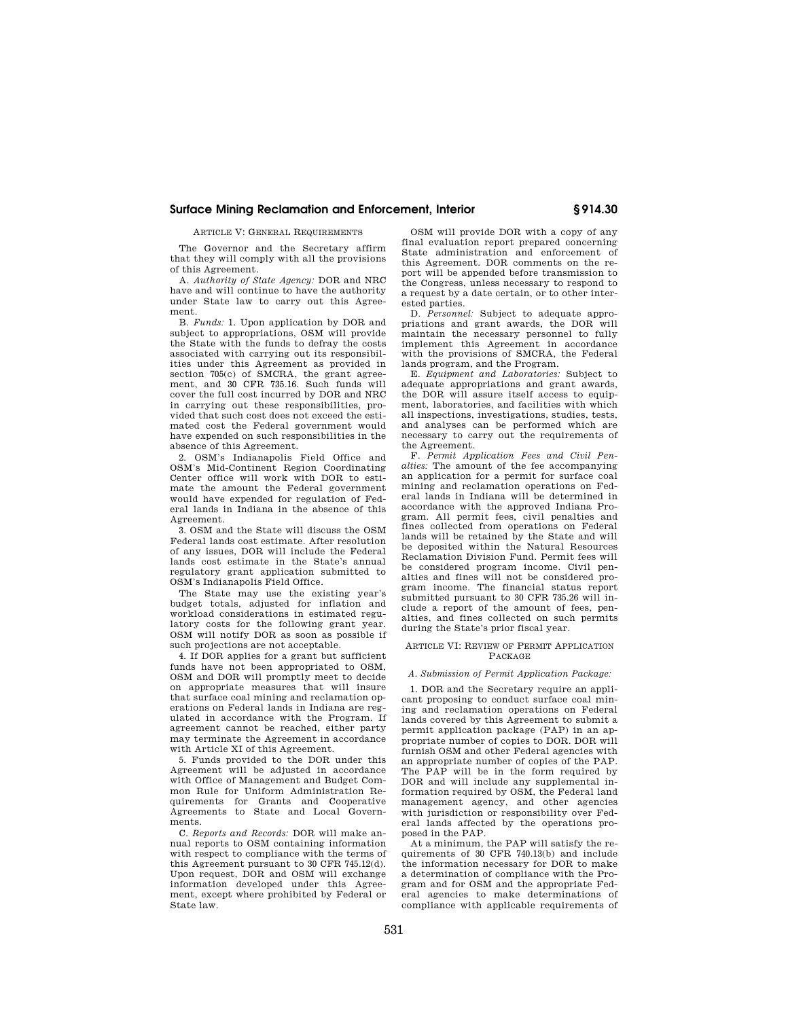## **Surface Mining Reclamation and Enforcement, Interior § 914.30**

ARTICLE V: GENERAL REQUIREMENTS

The Governor and the Secretary affirm that they will comply with all the provisions of this Agreement.

A. *Authority of State Agency:* DOR and NRC have and will continue to have the authority under State law to carry out this Agreement.

B. *Funds:* 1. Upon application by DOR and subject to appropriations, OSM will provide the State with the funds to defray the costs associated with carrying out its responsibilities under this Agreement as provided in section 705(c) of SMCRA, the grant agreement, and 30 CFR 735.16. Such funds will cover the full cost incurred by DOR and NRC in carrying out these responsibilities, provided that such cost does not exceed the estimated cost the Federal government would have expended on such responsibilities in the absence of this Agreement.

2. OSM's Indianapolis Field Office and OSM's Mid-Continent Region Coordinating Center office will work with DOR to estimate the amount the Federal government would have expended for regulation of Federal lands in Indiana in the absence of this Agreement.

3. OSM and the State will discuss the OSM Federal lands cost estimate. After resolution of any issues, DOR will include the Federal lands cost estimate in the State's annual regulatory grant application submitted to OSM's Indianapolis Field Office.

The State may use the existing year's budget totals, adjusted for inflation and workload considerations in estimated regulatory costs for the following grant year. OSM will notify DOR as soon as possible if such projections are not acceptable.

4. If DOR applies for a grant but sufficient funds have not been appropriated to OSM, OSM and DOR will promptly meet to decide on appropriate measures that will insure that surface coal mining and reclamation operations on Federal lands in Indiana are regulated in accordance with the Program. If agreement cannot be reached, either party may terminate the Agreement in accordance with Article XI of this Agreement.

5. Funds provided to the DOR under this Agreement will be adjusted in accordance with Office of Management and Budget Common Rule for Uniform Administration Requirements for Grants and Cooperative Agreements to State and Local Governments.

C. *Reports and Records:* DOR will make annual reports to OSM containing information with respect to compliance with the terms of this Agreement pursuant to 30 CFR 745.12(d). Upon request, DOR and OSM will exchange information developed under this Agreement, except where prohibited by Federal or State law.

OSM will provide DOR with a copy of any final evaluation report prepared concerning State administration and enforcement of this Agreement. DOR comments on the report will be appended before transmission to the Congress, unless necessary to respond to a request by a date certain, or to other interested parties.

D. *Personnel:* Subject to adequate appropriations and grant awards, the DOR will maintain the necessary personnel to fully implement this Agreement in accordance with the provisions of SMCRA, the Federal lands program, and the Program.

E. *Equipment and Laboratories:* Subject to adequate appropriations and grant awards, the DOR will assure itself access to equipment, laboratories, and facilities with which all inspections, investigations, studies, tests, and analyses can be performed which are necessary to carry out the requirements of the Agreement.

F. *Permit Application Fees and Civil Penalties:* The amount of the fee accompanying an application for a permit for surface coal mining and reclamation operations on Federal lands in Indiana will be determined in accordance with the approved Indiana Program. All permit fees, civil penalties and fines collected from operations on Federal lands will be retained by the State and will be deposited within the Natural Resources Reclamation Division Fund. Permit fees will be considered program income. Civil penalties and fines will not be considered program income. The financial status report submitted pursuant to 30 CFR 735.26 will include a report of the amount of fees, penalties, and fines collected on such permits during the State's prior fiscal year.

#### ARTICLE VI: REVIEW OF PERMIT APPLICATION PACKAGE

### *A. Submission of Permit Application Package:*

1. DOR and the Secretary require an applicant proposing to conduct surface coal mining and reclamation operations on Federal lands covered by this Agreement to submit a permit application package (PAP) in an appropriate number of copies to DOR. DOR will furnish OSM and other Federal agencies with an appropriate number of copies of the PAP. The PAP will be in the form required by DOR and will include any supplemental information required by OSM, the Federal land management agency, and other agencies with jurisdiction or responsibility over Federal lands affected by the operations proposed in the PAP.

At a minimum, the PAP will satisfy the requirements of 30 CFR 740.13(b) and include the information necessary for DOR to make a determination of compliance with the Program and for OSM and the appropriate Federal agencies to make determinations of compliance with applicable requirements of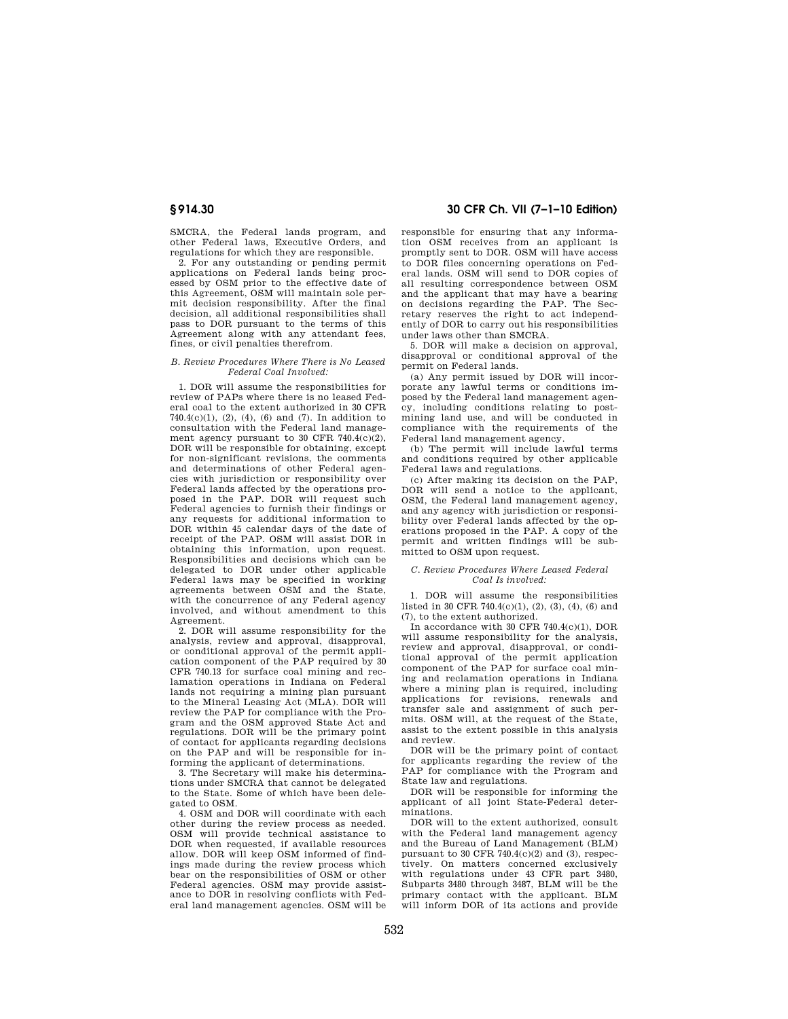SMCRA, the Federal lands program, and other Federal laws, Executive Orders, and regulations for which they are responsible.

2. For any outstanding or pending permit applications on Federal lands being processed by OSM prior to the effective date of this Agreement, OSM will maintain sole permit decision responsibility. After the final decision, all additional responsibilities shall pass to DOR pursuant to the terms of this Agreement along with any attendant fees, fines, or civil penalties therefrom.

## *B. Review Procedures Where There is No Leased Federal Coal Involved:*

1. DOR will assume the responsibilities for review of PAPs where there is no leased Federal coal to the extent authorized in 30 CFR 740.4(c)(1), (2), (4), (6) and (7). In addition to consultation with the Federal land management agency pursuant to 30 CFR 740.4(c)(2), DOR will be responsible for obtaining, except for non-significant revisions, the comments and determinations of other Federal agencies with jurisdiction or responsibility over Federal lands affected by the operations proposed in the PAP. DOR will request such Federal agencies to furnish their findings or any requests for additional information to DOR within 45 calendar days of the date of receipt of the PAP. OSM will assist DOR in obtaining this information, upon request. Responsibilities and decisions which can be delegated to DOR under other applicable Federal laws may be specified in working agreements between OSM and the State, with the concurrence of any Federal agency involved, and without amendment to this Agreement.

2. DOR will assume responsibility for the analysis, review and approval, disapproval, or conditional approval of the permit application component of the PAP required by 30 CFR 740.13 for surface coal mining and reclamation operations in Indiana on Federal lands not requiring a mining plan pursuant to the Mineral Leasing Act (MLA). DOR will review the PAP for compliance with the Program and the OSM approved State Act and regulations. DOR will be the primary point of contact for applicants regarding decisions on the PAP and will be responsible for informing the applicant of determinations.

3. The Secretary will make his determinations under SMCRA that cannot be delegated to the State. Some of which have been delegated to OSM.

4. OSM and DOR will coordinate with each other during the review process as needed. OSM will provide technical assistance to DOR when requested, if available resources allow. DOR will keep OSM informed of findings made during the review process which bear on the responsibilities of OSM or other Federal agencies. OSM may provide assistance to DOR in resolving conflicts with Federal land management agencies. OSM will be

# **§ 914.30 30 CFR Ch. VII (7–1–10 Edition)**

responsible for ensuring that any information OSM receives from an applicant is promptly sent to DOR. OSM will have access to DOR files concerning operations on Federal lands. OSM will send to DOR copies of all resulting correspondence between OSM and the applicant that may have a bearing on decisions regarding the PAP. The Secretary reserves the right to act independently of DOR to carry out his responsibilities under laws other than SMCRA.

5. DOR will make a decision on approval, disapproval or conditional approval of the permit on Federal lands.

(a) Any permit issued by DOR will incorporate any lawful terms or conditions imposed by the Federal land management agency, including conditions relating to postmining land use, and will be conducted in compliance with the requirements of the Federal land management agency.

(b) The permit will include lawful terms and conditions required by other applicable Federal laws and regulations.

(c) After making its decision on the PAP, DOR will send a notice to the applicant, OSM, the Federal land management agency, and any agency with jurisdiction or responsibility over Federal lands affected by the operations proposed in the PAP. A copy of the permit and written findings will be submitted to OSM upon request.

#### *C. Review Procedures Where Leased Federal Coal Is involved:*

1. DOR will assume the responsibilities listed in 30 CFR 740.4(c)(1), (2), (3), (4), (6) and (7), to the extent authorized.

In accordance with 30 CFR 740.4(c)(1), DOR will assume responsibility for the analysis, review and approval, disapproval, or conditional approval of the permit application component of the PAP for surface coal mining and reclamation operations in Indiana where a mining plan is required, including applications for revisions, renewals and transfer sale and assignment of such permits. OSM will, at the request of the State, assist to the extent possible in this analysis and review.

DOR will be the primary point of contact for applicants regarding the review of the PAP for compliance with the Program and State law and regulations.

DOR will be responsible for informing the applicant of all joint State-Federal determinations.

DOR will to the extent authorized, consult with the Federal land management agency and the Bureau of Land Management (BLM) pursuant to  $30$  CFR 740.4(c)(2) and (3), respectively. On matters concerned exclusively with regulations under 43 CFR part 3480, Subparts 3480 through 3487, BLM will be the primary contact with the applicant. BLM will inform DOR of its actions and provide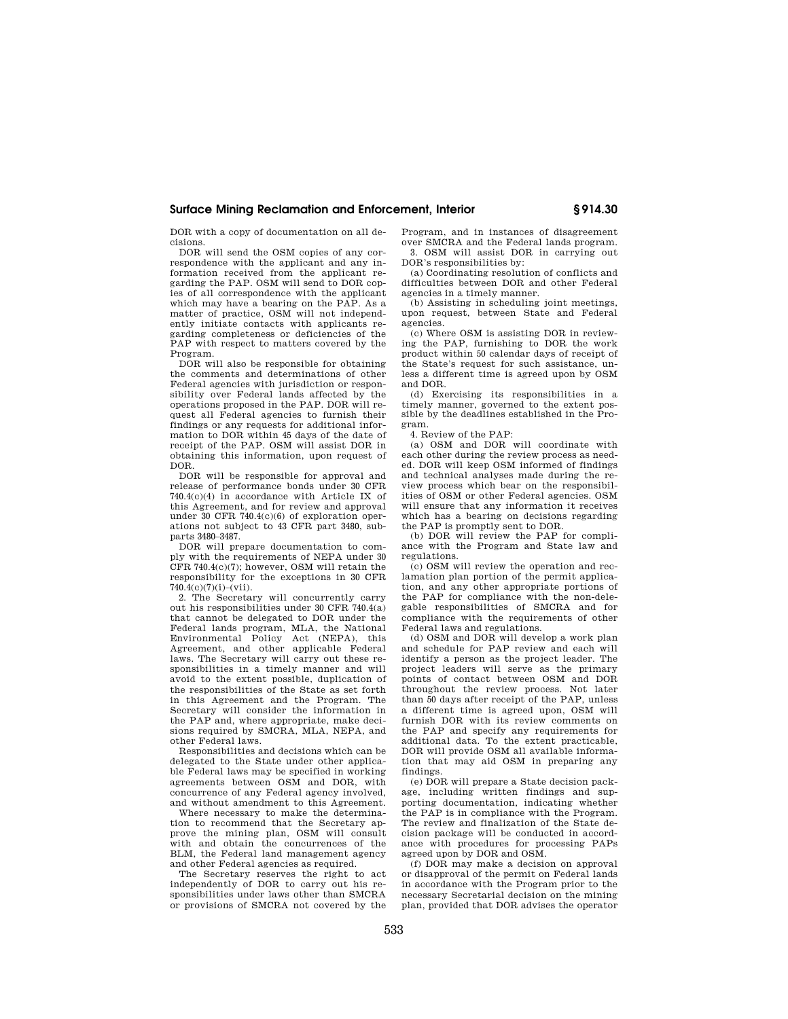## **Surface Mining Reclamation and Enforcement, Interior § 914.30**

DOR with a copy of documentation on all decisions.

DOR will send the OSM copies of any correspondence with the applicant and any information received from the applicant regarding the PAP. OSM will send to DOR copies of all correspondence with the applicant which may have a bearing on the PAP. As a matter of practice, OSM will not independently initiate contacts with applicants regarding completeness or deficiencies of the PAP with respect to matters covered by the Program.

DOR will also be responsible for obtaining the comments and determinations of other Federal agencies with jurisdiction or responsibility over Federal lands affected by the operations proposed in the PAP. DOR will request all Federal agencies to furnish their findings or any requests for additional information to DOR within 45 days of the date of receipt of the PAP. OSM will assist DOR in obtaining this information, upon request of DOR.

DOR will be responsible for approval and release of performance bonds under 30 CFR 740.4(c)(4) in accordance with Article IX of this Agreement, and for review and approval under 30 CFR 740.4(c)(6) of exploration operations not subject to 43 CFR part 3480, subparts 3480–3487.

DOR will prepare documentation to comply with the requirements of NEPA under 30 CFR 740.4(c)(7); however, OSM will retain the responsibility for the exceptions in 30 CFR  $740.4(c)(7)(i)$ –(vii).

2. The Secretary will concurrently carry out his responsibilities under 30 CFR 740.4(a) that cannot be delegated to DOR under the Federal lands program, MLA, the National Environmental Policy Act (NEPA), this Agreement, and other applicable Federal laws. The Secretary will carry out these responsibilities in a timely manner and will avoid to the extent possible, duplication of the responsibilities of the State as set forth in this Agreement and the Program. The Secretary will consider the information in the PAP and, where appropriate, make decisions required by SMCRA, MLA, NEPA, and other Federal laws.

Responsibilities and decisions which can be delegated to the State under other applicable Federal laws may be specified in working agreements between OSM and DOR, with concurrence of any Federal agency involved, and without amendment to this Agreement.

Where necessary to make the determination to recommend that the Secretary approve the mining plan, OSM will consult with and obtain the concurrences of the BLM, the Federal land management agency and other Federal agencies as required.

The Secretary reserves the right to act independently of DOR to carry out his responsibilities under laws other than SMCRA or provisions of SMCRA not covered by the Program, and in instances of disagreement over SMCRA and the Federal lands program. 3. OSM will assist DOR in carrying out DOR's responsibilities by:

(a) Coordinating resolution of conflicts and difficulties between DOR and other Federal agencies in a timely manner.

(b) Assisting in scheduling joint meetings, upon request, between State and Federal agencies.

(c) Where OSM is assisting DOR in reviewing the PAP, furnishing to DOR the work product within 50 calendar days of receipt of the State's request for such assistance, unless a different time is agreed upon by OSM and DOR.

(d) Exercising its responsibilities in a timely manner, governed to the extent possible by the deadlines established in the Program.

4. Review of the PAP:

(a) OSM and DOR will coordinate with each other during the review process as needed. DOR will keep OSM informed of findings and technical analyses made during the review process which bear on the responsibilities of OSM or other Federal agencies. OSM will ensure that any information it receives which has a bearing on decisions regarding the PAP is promptly sent to DOR.

(b) DOR will review the PAP for compliance with the Program and State law and regulations.

(c) OSM will review the operation and reclamation plan portion of the permit application, and any other appropriate portions of the PAP for compliance with the non-delegable responsibilities of SMCRA and for compliance with the requirements of other Federal laws and regulations.

(d) OSM and DOR will develop a work plan and schedule for PAP review and each will identify a person as the project leader. The project leaders will serve as the primary points of contact between OSM and DOR throughout the review process. Not later than 50 days after receipt of the PAP, unless a different time is agreed upon, OSM will furnish DOR with its review comments on the PAP and specify any requirements for additional data. To the extent practicable, DOR will provide OSM all available information that may aid OSM in preparing any findings.

(e) DOR will prepare a State decision package, including written findings and supporting documentation, indicating whether the PAP is in compliance with the Program. The review and finalization of the State decision package will be conducted in accordance with procedures for processing PAPs agreed upon by DOR and OSM.

(f) DOR may make a decision on approval or disapproval of the permit on Federal lands in accordance with the Program prior to the necessary Secretarial decision on the mining plan, provided that DOR advises the operator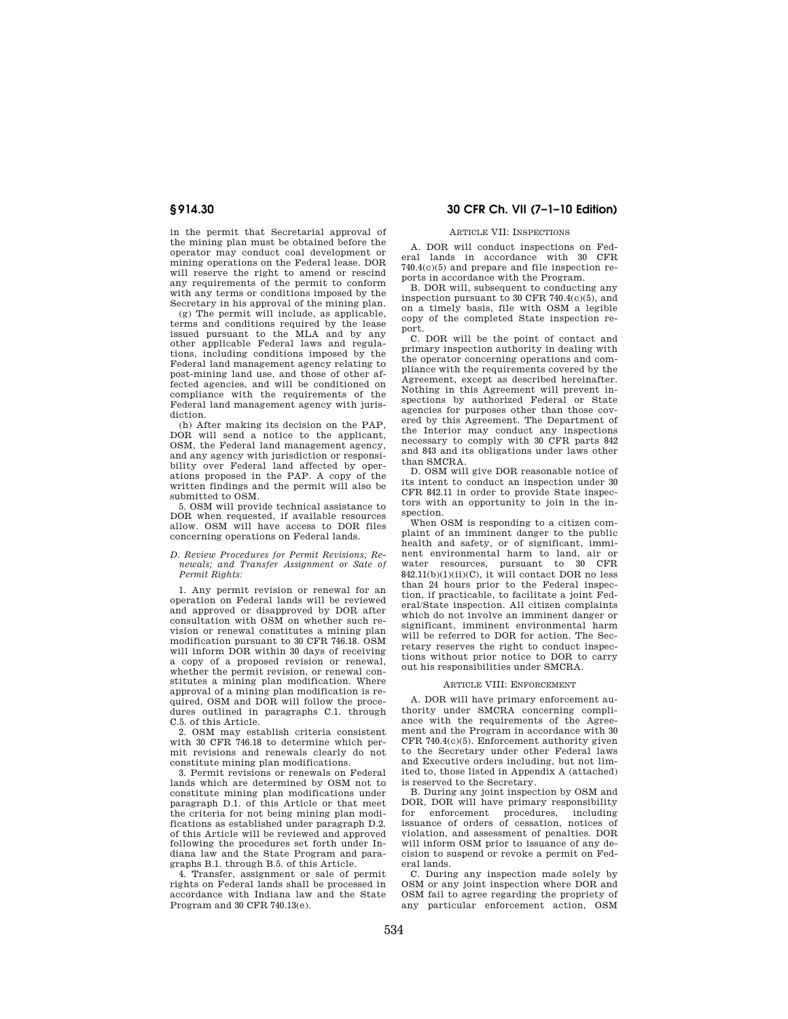in the permit that Secretarial approval of the mining plan must be obtained before the operator may conduct coal development or mining operations on the Federal lease. DOR will reserve the right to amend or rescind any requirements of the permit to conform with any terms or conditions imposed by the Secretary in his approval of the mining plan.

(g) The permit will include, as applicable, terms and conditions required by the lease issued pursuant to the MLA and by any other applicable Federal laws and regulations, including conditions imposed by the Federal land management agency relating to post-mining land use, and those of other affected agencies, and will be conditioned on compliance with the requirements of the Federal land management agency with jurisdiction.

(h) After making its decision on the PAP, DOR will send a notice to the applicant, OSM, the Federal land management agency, and any agency with jurisdiction or responsibility over Federal land affected by operations proposed in the PAP. A copy of the written findings and the permit will also be submitted to OSM.

5. OSM will provide technical assistance to DOR when requested, if available resources allow. OSM will have access to DOR files concerning operations on Federal lands.

#### *D. Review Procedures for Permit Revisions; Renewals; and Transfer Assignment or Sate of Permit Rights:*

1. Any permit revision or renewal for an operation on Federal lands will be reviewed and approved or disapproved by DOR after consultation with OSM on whether such revision or renewal constitutes a mining plan modification pursuant to 30 CFR 746.18. OSM will inform DOR within 30 days of receiving a copy of a proposed revision or renewal, whether the permit revision, or renewal constitutes a mining plan modification. Where approval of a mining plan modification is required, OSM and DOR will follow the procedures outlined in paragraphs C.1. through C.5. of this Article.

2. OSM may establish criteria consistent with 30 CFR 746.18 to determine which permit revisions and renewals clearly do not constitute mining plan modifications.

3. Permit revisions or renewals on Federal lands which are determined by OSM not to constitute mining plan modifications under paragraph D.1. of this Article or that meet the criteria for not being mining plan modifications as established under paragraph D.2. of this Article will be reviewed and approved following the procedures set forth under Indiana law and the State Program and paragraphs B.1. through B.5. of this Article.

4. Transfer, assignment or sale of permit rights on Federal lands shall be processed in accordance with Indiana law and the State Program and 30 CFR 740.13(e).

# **§ 914.30 30 CFR Ch. VII (7–1–10 Edition)**

### ARTICLE VII: INSPECTIONS

A. DOR will conduct inspections on Federal lands in accordance with 30 CFR 740.4(c)(5) and prepare and file inspection reports in accordance with the Program.

B. DOR will, subsequent to conducting any inspection pursuant to 30 CFR 740.4(c)(5), and on a timely basis, file with OSM a legible copy of the completed State inspection report.

C. DOR will be the point of contact and primary inspection authority in dealing with the operator concerning operations and compliance with the requirements covered by the Agreement, except as described hereinafter. Nothing in this Agreement will prevent inspections by authorized Federal or State agencies for purposes other than those covered by this Agreement. The Department of the Interior may conduct any inspections necessary to comply with 30 CFR parts 842 and 843 and its obligations under laws other than SMCRA.

D. OSM will give DOR reasonable notice of its intent to conduct an inspection under 30 CFR 842.11 in order to provide State inspectors with an opportunity to join in the inspection.

When OSM is responding to a citizen complaint of an imminent danger to the public health and safety, or of significant, imminent environmental harm to land, air or water resources, pursuant to 30 CFR  $842.11(b)(1)(ii)(C)$ , it will contact DOR no less than 24 hours prior to the Federal inspection, if practicable, to facilitate a joint Federal/State inspection. All citizen complaints which do not involve an imminent danger or significant, imminent environmental harm will be referred to DOR for action. The Secretary reserves the right to conduct inspections without prior notice to DOR to carry out his responsibilities under SMCRA.

#### ARTICLE VIII: ENFORCEMENT

A. DOR will have primary enforcement authority under SMCRA concerning compliance with the requirements of the Agreement and the Program in accordance with 30 CFR 740.4(c)(5). Enforcement authority given to the Secretary under other Federal laws and Executive orders including, but not limited to, those listed in Appendix A (attached) is reserved to the Secretary.

B. During any joint inspection by OSM and DOR, DOR will have primary responsibility for enforcement procedures, including issuance of orders of cessation, notices of violation, and assessment of penalties. DOR will inform OSM prior to issuance of any decision to suspend or revoke a permit on Federal lands.

C. During any inspection made solely by OSM or any joint inspection where DOR and OSM fail to agree regarding the propriety of any particular enforcement action, OSM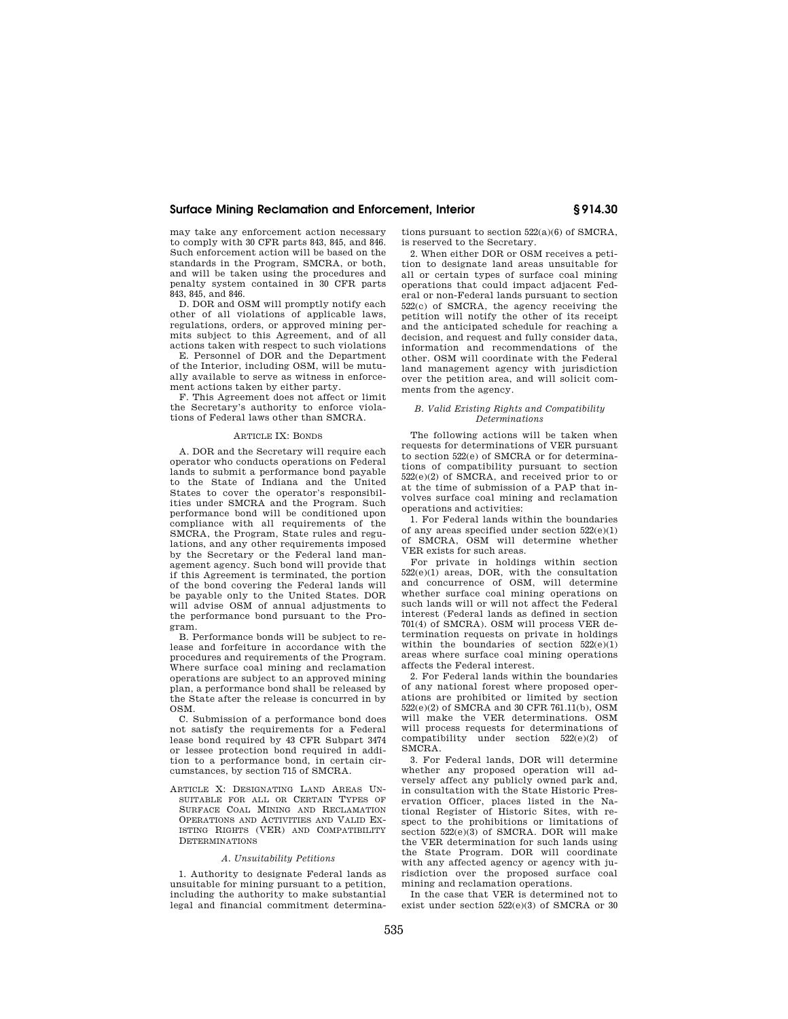## **Surface Mining Reclamation and Enforcement, Interior § 914.30**

may take any enforcement action necessary to comply with 30 CFR parts 843, 845, and 846. Such enforcement action will be based on the standards in the Program, SMCRA, or both, and will be taken using the procedures and penalty system contained in 30 CFR parts 843, 845, and 846.

D. DOR and OSM will promptly notify each other of all violations of applicable laws, regulations, orders, or approved mining permits subject to this Agreement, and of all actions taken with respect to such violations

E. Personnel of DOR and the Department of the Interior, including OSM, will be mutually available to serve as witness in enforcement actions taken by either party.

F. This Agreement does not affect or limit the Secretary's authority to enforce violations of Federal laws other than SMCRA.

### ARTICLE IX: BONDS

A. DOR and the Secretary will require each operator who conducts operations on Federal lands to submit a performance bond payable to the State of Indiana and the United States to cover the operator's responsibilities under SMCRA and the Program. Such performance bond will be conditioned upon compliance with all requirements of the SMCRA, the Program, State rules and regulations, and any other requirements imposed by the Secretary or the Federal land management agency. Such bond will provide that if this Agreement is terminated, the portion of the bond covering the Federal lands will be payable only to the United States. DOR will advise OSM of annual adjustments to the performance bond pursuant to the Program.

B. Performance bonds will be subject to release and forfeiture in accordance with the procedures and requirements of the Program. Where surface coal mining and reclamation operations are subject to an approved mining plan, a performance bond shall be released by the State after the release is concurred in by OSM.

C. Submission of a performance bond does not satisfy the requirements for a Federal lease bond required by 43 CFR Subpart 3474 or lessee protection bond required in addition to a performance bond, in certain circumstances, by section 715 of SMCRA.

ARTICLE X: DESIGNATING LAND AREAS UN-SUITABLE FOR ALL OR CERTAIN TYPES OF SURFACE COAL MINING AND RECLAMATION OPERATIONS AND ACTIVITIES AND VALID EX-ISTING RIGHTS (VER) AND COMPATIBILITY DETERMINATIONS

#### *A. Unsuitability Petitions*

1. Authority to designate Federal lands as unsuitable for mining pursuant to a petition, including the authority to make substantial legal and financial commitment determinations pursuant to section 522(a)(6) of SMCRA, is reserved to the Secretary.

2. When either DOR or OSM receives a petition to designate land areas unsuitable for all or certain types of surface coal mining operations that could impact adjacent Federal or non-Federal lands pursuant to section 522(c) of SMCRA, the agency receiving the petition will notify the other of its receipt and the anticipated schedule for reaching a decision, and request and fully consider data, information and recommendations of the other. OSM will coordinate with the Federal land management agency with jurisdiction over the petition area, and will solicit comments from the agency.

#### *B. Valid Existing Rights and Compatibility Determinations*

The following actions will be taken when requests for determinations of VER pursuant to section 522(e) of SMCRA or for determinations of compatibility pursuant to section 522(e)(2) of SMCRA, and received prior to or at the time of submission of a PAP that involves surface coal mining and reclamation operations and activities:

1. For Federal lands within the boundaries of any areas specified under section 522(e)(1) of SMCRA, OSM will determine whether VER exists for such areas.

For private in holdings within section  $522(e)(1)$  areas, DOR, with the consultation and concurrence of OSM, will determine whether surface coal mining operations on such lands will or will not affect the Federal interest (Federal lands as defined in section 701(4) of SMCRA). OSM will process VER determination requests on private in holdings within the boundaries of section  $522(e)(1)$ areas where surface coal mining operations affects the Federal interest.

2. For Federal lands within the boundaries of any national forest where proposed operations are prohibited or limited by section 522(e)(2) of SMCRA and 30 CFR 761.11(b), OSM will make the VER determinations. OSM will process requests for determinations of compatibility under section 522(e)(2) of SMCRA.

3. For Federal lands, DOR will determine whether any proposed operation will adversely affect any publicly owned park and, in consultation with the State Historic Preservation Officer, places listed in the National Register of Historic Sites, with respect to the prohibitions or limitations of section 522(e)(3) of SMCRA. DOR will make the VER determination for such lands using the State Program. DOR will coordinate with any affected agency or agency with jurisdiction over the proposed surface coal mining and reclamation operations.

In the case that VER is determined not to exist under section 522(e)(3) of SMCRA or 30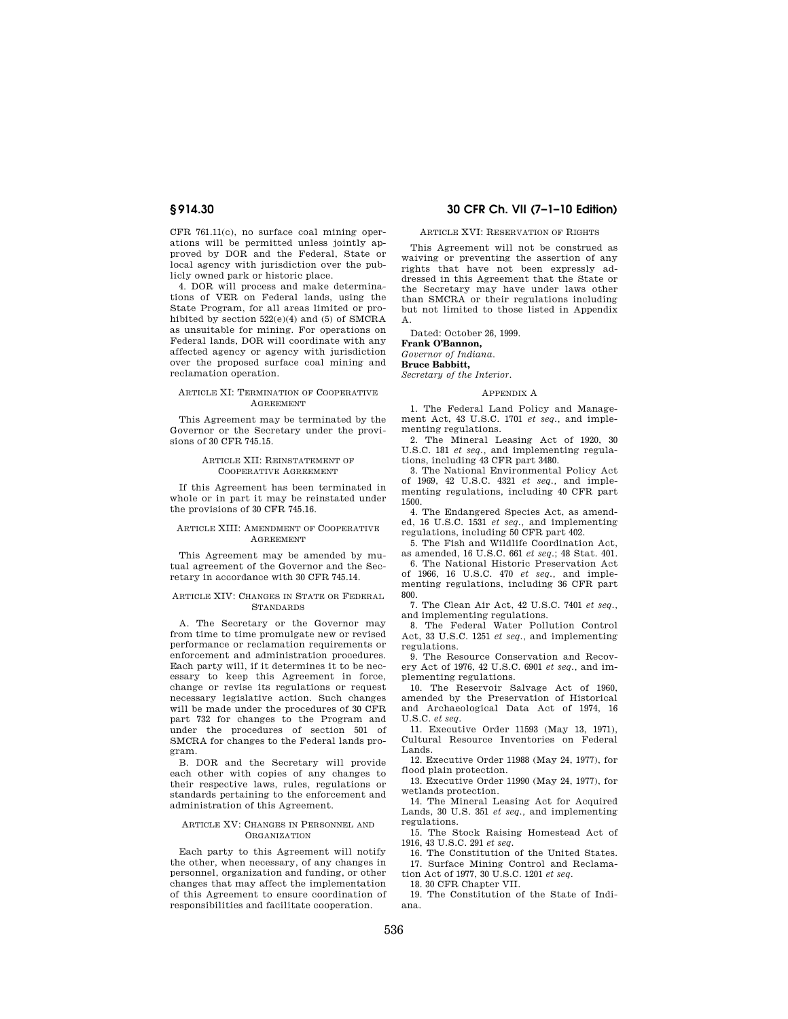CFR 761.11(c), no surface coal mining operations will be permitted unless jointly approved by DOR and the Federal, State or local agency with jurisdiction over the publicly owned park or historic place.

4. DOR will process and make determinations of VER on Federal lands, using the State Program, for all areas limited or prohibited by section 522(e)(4) and (5) of SMCRA as unsuitable for mining. For operations on Federal lands, DOR will coordinate with any affected agency or agency with jurisdiction over the proposed surface coal mining and reclamation operation.

#### ARTICLE XI: TERMINATION OF COOPERATIVE AGREEMENT

This Agreement may be terminated by the Governor or the Secretary under the provisions of 30 CFR 745.15.

#### ARTICLE XII: REINSTATEMENT OF COOPERATIVE AGREEMENT

If this Agreement has been terminated in whole or in part it may be reinstated under the provisions of 30 CFR 745.16.

#### ARTICLE XIII: AMENDMENT OF COOPERATIVE AGREEMENT

This Agreement may be amended by mutual agreement of the Governor and the Secretary in accordance with 30 CFR 745.14.

#### ARTICLE XIV: CHANGES IN STATE OR FEDERAL STANDARDS

A. The Secretary or the Governor may from time to time promulgate new or revised performance or reclamation requirements or enforcement and administration procedures. Each party will, if it determines it to be necessary to keep this Agreement in force, change or revise its regulations or request necessary legislative action. Such changes will be made under the procedures of 30 CFR part 732 for changes to the Program and under the procedures of section 501 of SMCRA for changes to the Federal lands program.

B. DOR and the Secretary will provide each other with copies of any changes to their respective laws, rules, regulations or standards pertaining to the enforcement and administration of this Agreement.

#### ARTICLE XV: CHANGES IN PERSONNEL AND **ORGANIZATION**

Each party to this Agreement will notify the other, when necessary, of any changes in personnel, organization and funding, or other changes that may affect the implementation of this Agreement to ensure coordination of responsibilities and facilitate cooperation.

# **§ 914.30 30 CFR Ch. VII (7–1–10 Edition)**

#### ARTICLE XVI: RESERVATION OF RIGHTS

This Agreement will not be construed as waiving or preventing the assertion of any rights that have not been expressly addressed in this Agreement that the State or the Secretary may have under laws other than SMCRA or their regulations including but not limited to those listed in Appendix A.

Dated: October 26, 1999.

# **Frank O'Bannon,**

*Governor of Indiana.*  **Bruce Babbitt,** 

*Secretary of the Interior.* 

# APPENDIX A

1. The Federal Land Policy and Management Act, 43 U.S.C. 1701 *et seq.,* and implementing regulations.

2. The Mineral Leasing Act of 1920, 30 U.S.C. 181 *et seq.,* and implementing regulations, including 43 CFR part 3480.

3. The National Environmental Policy Act of 1969, 42 U.S.C. 4321 *et seq.,* and implementing regulations, including 40 CFR part 1500.

4. The Endangered Species Act, as amended, 16 U.S.C. 1531 *et seq.,* and implementing regulations, including 50 CFR part 402.

5. The Fish and Wildlife Coordination Act, as amended, 16 U.S.C. 661 *et seq.*; 48 Stat. 401.

6. The National Historic Preservation Act of 1966, 16 U.S.C. 470 *et seq.,* and implementing regulations, including 36 CFR part 800.

7. The Clean Air Act, 42 U.S.C. 7401 *et seq.,*  and implementing regulations.

8. The Federal Water Pollution Control Act, 33 U.S.C. 1251 *et seq.,* and implementing regulations.

9. The Resource Conservation and Recovery Act of 1976, 42 U.S.C. 6901 *et seq.,* and implementing regulations.

10. The Reservoir Salvage Act of 1960, amended by the Preservation of Historical and Archaeological Data Act of 1974, 16 U.S.C. *et seq.* 

11. Executive Order 11593 (May 13, 1971), Cultural Resource Inventories on Federal Lands.

12. Executive Order 11988 (May 24, 1977), for flood plain protection.

13. Executive Order 11990 (May 24, 1977), for wetlands protection.

14. The Mineral Leasing Act for Acquired Lands, 30 U.S. 351 *et seq.,* and implementing regulations.

15. The Stock Raising Homestead Act of 1916, 43 U.S.C. 291 *et seq.* 

16. The Constitution of the United States. 17. Surface Mining Control and Reclama-

tion Act of 1977, 30 U.S.C. 1201 *et seq.*  18. 30 CFR Chapter VII.

19. The Constitution of the State of Indi-